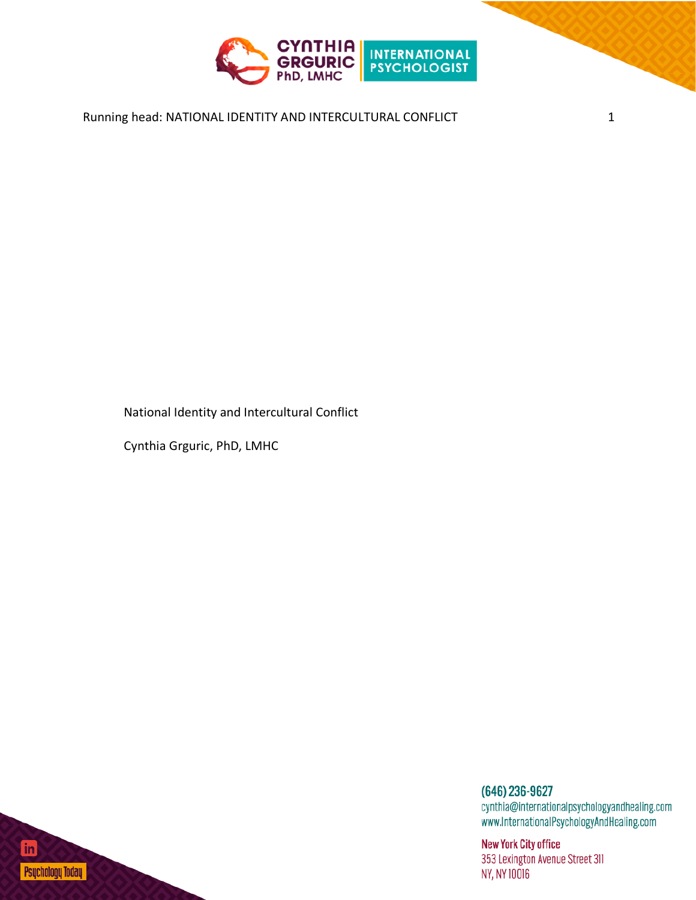

## Running head: NATIONAL IDENTITY AND INTERCULTURAL CONFLICT 1

National Identity and Intercultural Conflict

Cynthia Grguric, PhD, LMHC

(646) 236-9627 cynthia@internationalpsychologyandhealing.com www.InternationalPsychologyAndHealing.com

**New York City office** 353 Lexington Avenue Street 311 NY, NY 10016

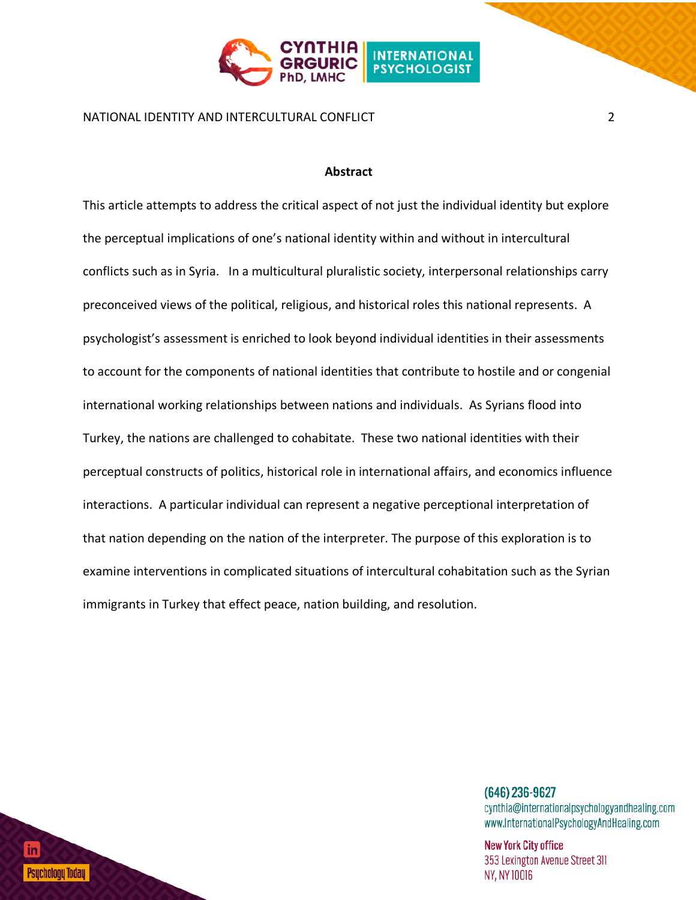

NATIONAL IDENTITY AND INTERCULTURAL CONFLICT 2

#### **Abstract**

This article attempts to address the critical aspect of not just the individual identity but explore the perceptual implications of one's national identity within and without in intercultural conflicts such as in Syria. In a multicultural pluralistic society, interpersonal relationships carry preconceived views of the political, religious, and historical roles this national represents. A psychologist's assessment is enriched to look beyond individual identities in their assessments to account for the components of national identities that contribute to hostile and or congenial international working relationships between nations and individuals. As Syrians flood into Turkey, the nations are challenged to cohabitate. These two national identities with their perceptual constructs of politics, historical role in international affairs, and economics influence interactions. A particular individual can represent a negative perceptional interpretation of that nation depending on the nation of the interpreter. The purpose of this exploration is to examine interventions in complicated situations of intercultural cohabitation such as the Syrian immigrants in Turkey that effect peace, nation building, and resolution.

> (646) 236-9627 cynthia@internationalpsychologyandhealing.com www.InternationalPsychologyAndHealing.com

**New York City office** 353 Lexington Avenue Street 311 **NY, NY 10016** 

Psuchology Today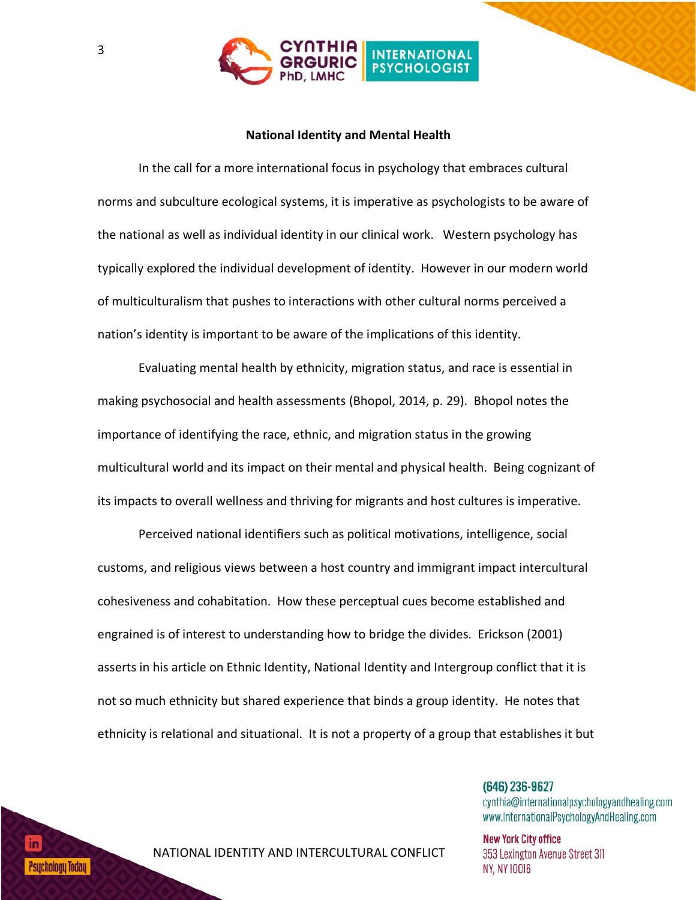

### **National Identity and Mental Health**

In the call for a more international focus in psychology that embraces cultural norms and subculture ecological systems, it is imperative as psychologists to be aware of the national as well as individual identity in our clinical work. Western psychology has typically explored the individual development of identity. However in our modern world of multiculturalism that pushes to interactions with other cultural norms perceived a nation's identity is important to be aware of the implications of this identity.

Evaluating mental health by ethnicity, migration status, and race is essential in making psychosocial and health assessments (Bhopol, 2014, p. 29). Bhopol notes the importance of identifying the race, ethnic, and migration status in the growing multicultural world and its impact on their mental and physical health. Being cognizant of its impacts to overall wellness and thriving for migrants and host cultures is imperative.

Perceived national identifiers such as political motivations, intelligence, social customs, and religious views between a host country and immigrant impact intercultural cohesiveness and cohabitation. How these perceptual cues become established and engrained is of interest to understanding how to bridge the divides. Erickson (2001) asserts in his article on Ethnic Identity, National Identity and Intergroup conflict that it is not so much ethnicity but shared experience that binds a group identity. He notes that ethnicity is relational and situational. It is not a property of a group that establishes it but

> $(646)$  236-9627 cynthia@internationalpsychologyandhealing.com www.InternationalPsychologyAndHealing.com

**New York City office** 353 Lexington Avenue Street 311 NY, NY 10016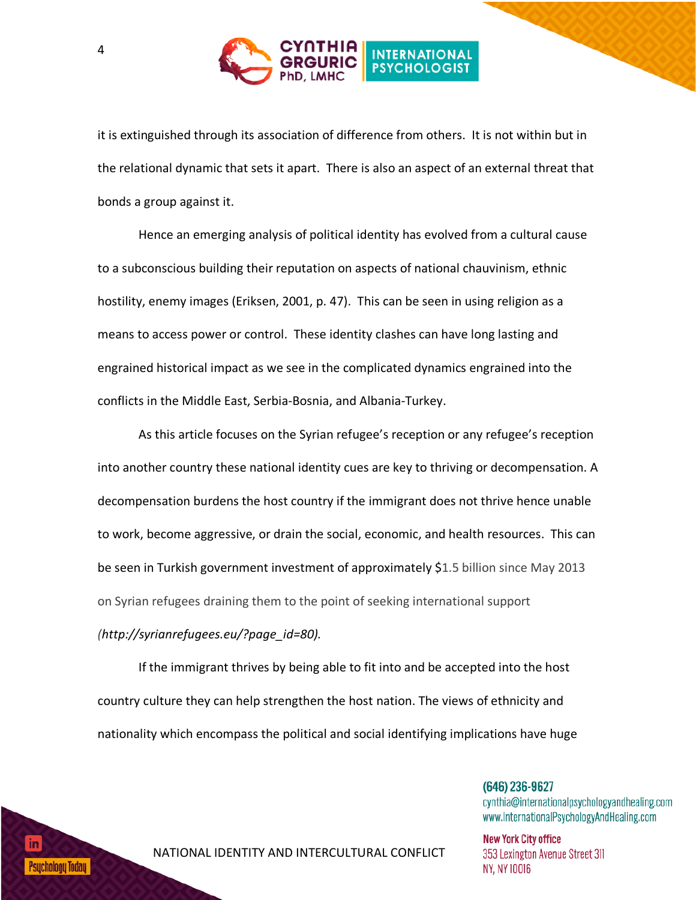

it is extinguished through its association of difference from others. It is not within but in the relational dynamic that sets it apart. There is also an aspect of an external threat that bonds a group against it.

Hence an emerging analysis of political identity has evolved from a cultural cause to a subconscious building their reputation on aspects of national chauvinism, ethnic hostility, enemy images (Eriksen, 2001, p. 47). This can be seen in using religion as a means to access power or control. These identity clashes can have long lasting and engrained historical impact as we see in the complicated dynamics engrained into the conflicts in the Middle East, Serbia-Bosnia, and Albania-Turkey.

As this article focuses on the Syrian refugee's reception or any refugee's reception into another country these national identity cues are key to thriving or decompensation. A decompensation burdens the host country if the immigrant does not thrive hence unable to work, become aggressive, or drain the social, economic, and health resources. This can be seen in Turkish government investment of approximately \$1.5 billion since May 2013 on Syrian refugees draining them to the point of seeking international support *(http://syrianrefugees.eu/?page\_id=80).*

If the immigrant thrives by being able to fit into and be accepted into the host country culture they can help strengthen the host nation. The views of ethnicity and nationality which encompass the political and social identifying implications have huge

> $(646)$  236-9627 cynthia@internationalpsychologyandhealing.com www.InternationalPsychologyAndHealing.com

**New York City office** 353 Lexington Avenue Street 311 NY, NY 10016

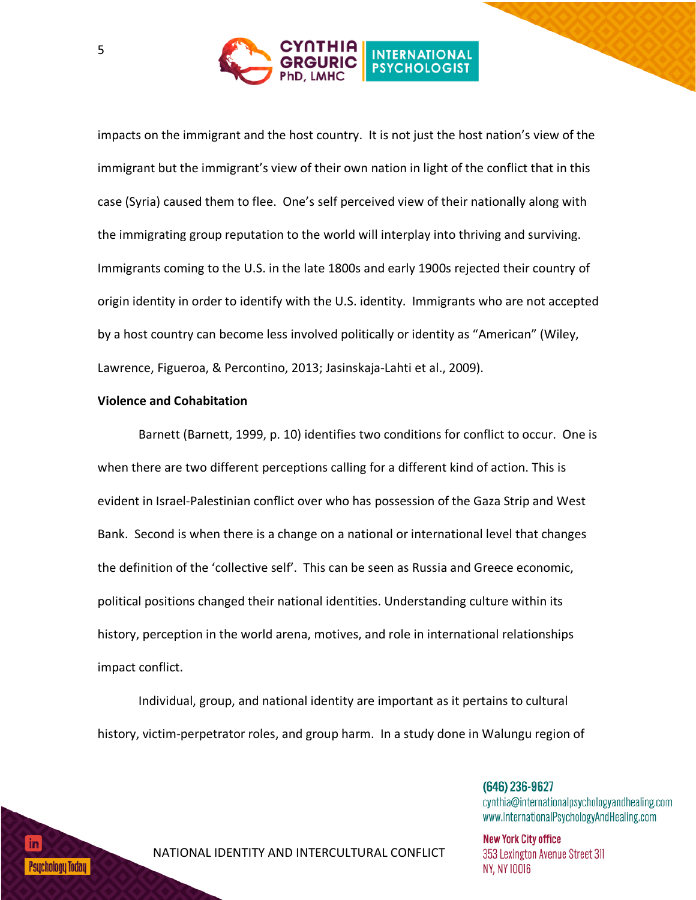

impacts on the immigrant and the host country. It is not just the host nation's view of the immigrant but the immigrant's view of their own nation in light of the conflict that in this case (Syria) caused them to flee. One's self perceived view of their nationally along with the immigrating group reputation to the world will interplay into thriving and surviving. Immigrants coming to the U.S. in the late 1800s and early 1900s rejected their country of origin identity in order to identify with the U.S. identity. Immigrants who are not accepted by a host country can become less involved politically or identity as "American" (Wiley, Lawrence, Figueroa, & Percontino, 2013; Jasinskaja-Lahti et al., 2009).

### **Violence and Cohabitation**

Barnett (Barnett, 1999, p. 10) identifies two conditions for conflict to occur. One is when there are two different perceptions calling for a different kind of action. This is evident in Israel-Palestinian conflict over who has possession of the Gaza Strip and West Bank. Second is when there is a change on a national or international level that changes the definition of the 'collective self'. This can be seen as Russia and Greece economic, political positions changed their national identities. Understanding culture within its history, perception in the world arena, motives, and role in international relationships impact conflict.

Individual, group, and national identity are important as it pertains to cultural history, victim-perpetrator roles, and group harm. In a study done in Walungu region of

> $(646)$  236-9627 cynthia@internationalpsychologyandhealing.com www.InternationalPsychologyAndHealing.com

**New York City office** 353 Lexington Avenue Street 311 NY, NY 10016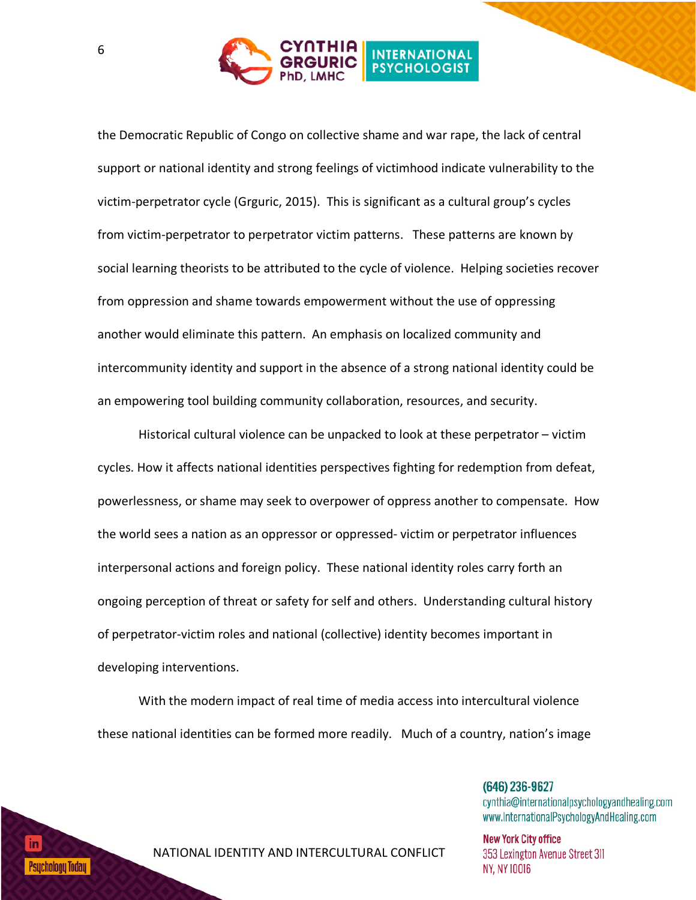

the Democratic Republic of Congo on collective shame and war rape, the lack of central support or national identity and strong feelings of victimhood indicate vulnerability to the victim-perpetrator cycle (Grguric, 2015). This is significant as a cultural group's cycles from victim-perpetrator to perpetrator victim patterns. These patterns are known by social learning theorists to be attributed to the cycle of violence. Helping societies recover from oppression and shame towards empowerment without the use of oppressing another would eliminate this pattern. An emphasis on localized community and intercommunity identity and support in the absence of a strong national identity could be an empowering tool building community collaboration, resources, and security.

Historical cultural violence can be unpacked to look at these perpetrator – victim cycles. How it affects national identities perspectives fighting for redemption from defeat, powerlessness, or shame may seek to overpower of oppress another to compensate. How the world sees a nation as an oppressor or oppressed- victim or perpetrator influences interpersonal actions and foreign policy. These national identity roles carry forth an ongoing perception of threat or safety for self and others. Understanding cultural history of perpetrator-victim roles and national (collective) identity becomes important in developing interventions.

With the modern impact of real time of media access into intercultural violence these national identities can be formed more readily. Much of a country, nation's image

> $(646)$  236-9627 cynthia@internationalpsychologyandhealing.com www.InternationalPsychologyAndHealing.com

**New York City office** 353 Lexington Avenue Street 311 NY, NY 10016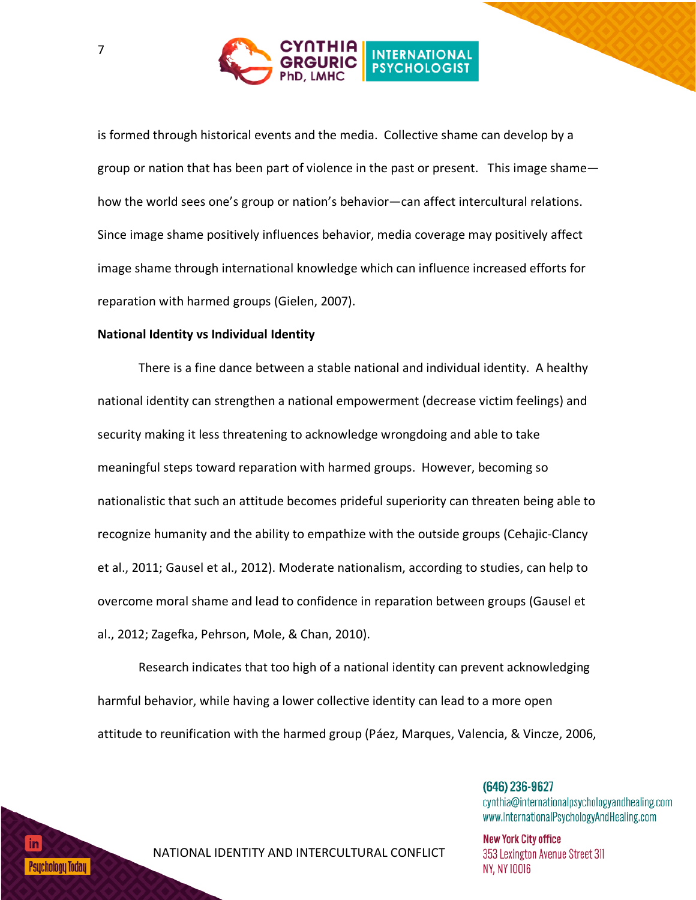

is formed through historical events and the media. Collective shame can develop by a group or nation that has been part of violence in the past or present. This image shame how the world sees one's group or nation's behavior—can affect intercultural relations. Since image shame positively influences behavior, media coverage may positively affect image shame through international knowledge which can influence increased efforts for reparation with harmed groups (Gielen, 2007).

### **National Identity vs Individual Identity**

There is a fine dance between a stable national and individual identity. A healthy national identity can strengthen a national empowerment (decrease victim feelings) and security making it less threatening to acknowledge wrongdoing and able to take meaningful steps toward reparation with harmed groups. However, becoming so nationalistic that such an attitude becomes prideful superiority can threaten being able to recognize humanity and the ability to empathize with the outside groups (Cehajic-Clancy et al., 2011; Gausel et al., 2012). Moderate nationalism, according to studies, can help to overcome moral shame and lead to confidence in reparation between groups (Gausel et al., 2012; Zagefka, Pehrson, Mole, & Chan, 2010).

Research indicates that too high of a national identity can prevent acknowledging harmful behavior, while having a lower collective identity can lead to a more open attitude to reunification with the harmed group (Páez, Marques, Valencia, & Vincze, 2006,

> $(646)$  236-9627 cynthia@internationalpsychologyandhealing.com www.InternationalPsychologyAndHealing.com

**New York City office** 353 Lexington Avenue Street 311 NY, NY 10016

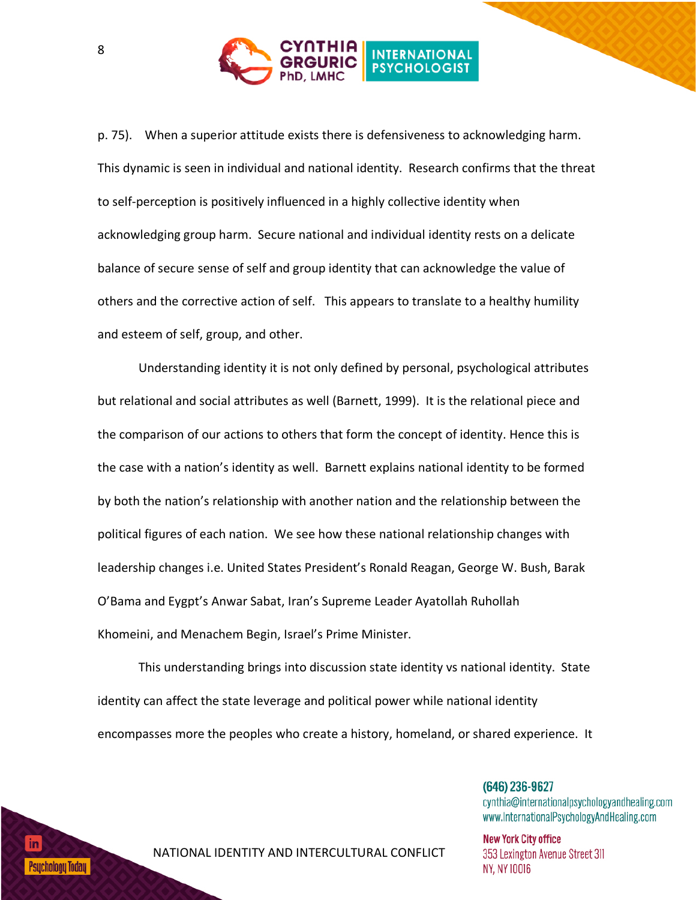

p. 75). When a superior attitude exists there is defensiveness to acknowledging harm. This dynamic is seen in individual and national identity. Research confirms that the threat to self-perception is positively influenced in a highly collective identity when acknowledging group harm. Secure national and individual identity rests on a delicate balance of secure sense of self and group identity that can acknowledge the value of others and the corrective action of self. This appears to translate to a healthy humility and esteem of self, group, and other.

Understanding identity it is not only defined by personal, psychological attributes but relational and social attributes as well (Barnett, 1999). It is the relational piece and the comparison of our actions to others that form the concept of identity. Hence this is the case with a nation's identity as well. Barnett explains national identity to be formed by both the nation's relationship with another nation and the relationship between the political figures of each nation. We see how these national relationship changes with leadership changes i.e. United States President's Ronald Reagan, George W. Bush, Barak O'Bama and Eygpt's Anwar Sabat, Iran's Supreme Leader Ayatollah Ruhollah Khomeini, and Menachem Begin, Israel's Prime Minister.

This understanding brings into discussion state identity vs national identity. State identity can affect the state leverage and political power while national identity encompasses more the peoples who create a history, homeland, or shared experience. It

> $(646)$  236-9627 cynthia@internationalpsychologyandhealing.com www.InternationalPsychologyAndHealing.com

**New York City office** 353 Lexington Avenue Street 311 NY, NY 10016

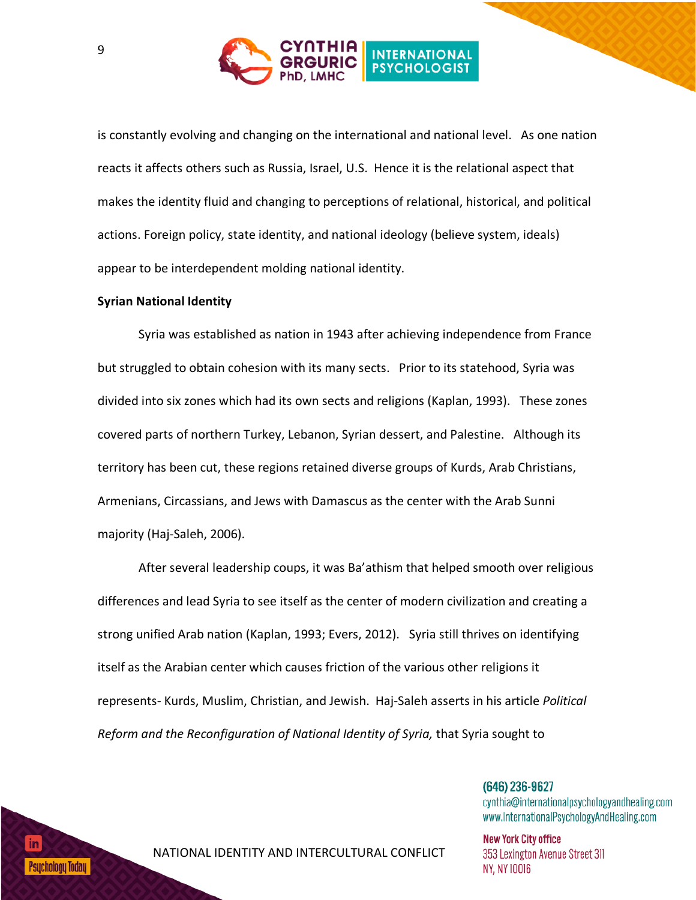

is constantly evolving and changing on the international and national level. As one nation reacts it affects others such as Russia, Israel, U.S. Hence it is the relational aspect that makes the identity fluid and changing to perceptions of relational, historical, and political actions. Foreign policy, state identity, and national ideology (believe system, ideals) appear to be interdependent molding national identity.

#### **Syrian National Identity**

Syria was established as nation in 1943 after achieving independence from France but struggled to obtain cohesion with its many sects. Prior to its statehood, Syria was divided into six zones which had its own sects and religions (Kaplan, 1993). These zones covered parts of northern Turkey, Lebanon, Syrian dessert, and Palestine. Although its territory has been cut, these regions retained diverse groups of Kurds, Arab Christians, Armenians, Circassians, and Jews with Damascus as the center with the Arab Sunni majority (Haj-Saleh, 2006).

After several leadership coups, it was Ba'athism that helped smooth over religious differences and lead Syria to see itself as the center of modern civilization and creating a strong unified Arab nation (Kaplan, 1993; Evers, 2012). Syria still thrives on identifying itself as the Arabian center which causes friction of the various other religions it represents- Kurds, Muslim, Christian, and Jewish. Haj-Saleh asserts in his article *Political Reform and the Reconfiguration of National Identity of Syria,* that Syria sought to

> $(646)$  236-9627 cynthia@internationalpsychologyandhealing.com www.InternationalPsychologyAndHealing.com

**New York City office** 353 Lexington Avenue Street 311 NY, NY 10016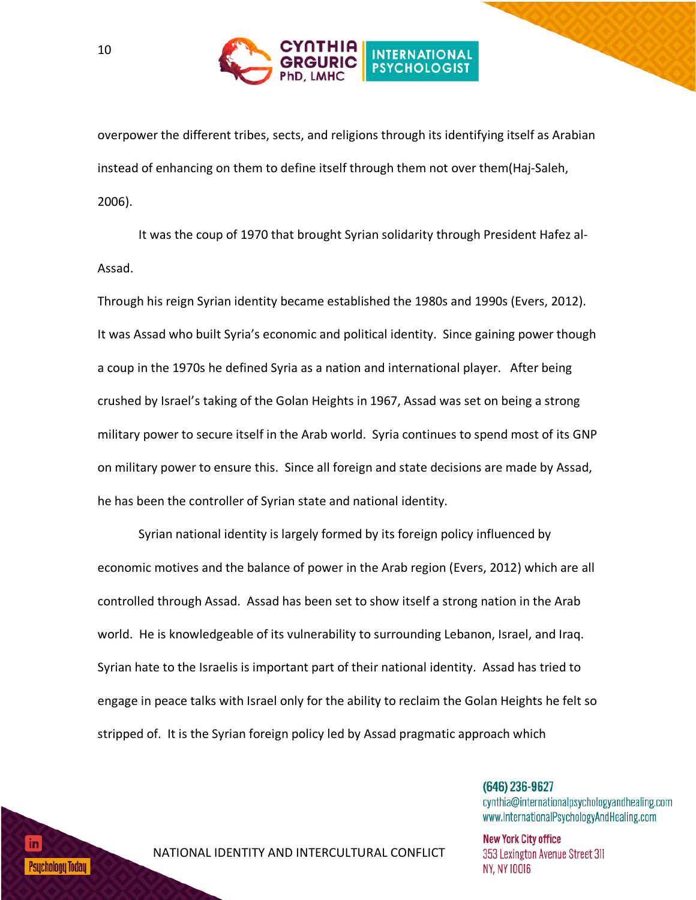

overpower the different tribes, sects, and religions through its identifying itself as Arabian instead of enhancing on them to define itself through them not over them(Haj-Saleh, 2006).

It was the coup of 1970 that brought Syrian solidarity through President Hafez al-Assad.

Through his reign Syrian identity became established the 1980s and 1990s (Evers, 2012). It was Assad who built Syria's economic and political identity. Since gaining power though a coup in the 1970s he defined Syria as a nation and international player. After being crushed by Israel's taking of the Golan Heights in 1967, Assad was set on being a strong military power to secure itself in the Arab world. Syria continues to spend most of its GNP on military power to ensure this. Since all foreign and state decisions are made by Assad, he has been the controller of Syrian state and national identity.

Syrian national identity is largely formed by its foreign policy influenced by economic motives and the balance of power in the Arab region (Evers, 2012) which are all controlled through Assad. Assad has been set to show itself a strong nation in the Arab world. He is knowledgeable of its vulnerability to surrounding Lebanon, Israel, and Iraq. Syrian hate to the Israelis is important part of their national identity. Assad has tried to engage in peace talks with Israel only for the ability to reclaim the Golan Heights he felt so stripped of. It is the Syrian foreign policy led by Assad pragmatic approach which

> $(646)$  236-9627 cynthia@internationalpsychologyandhealing.com www.InternationalPsychologyAndHealing.com

**New York City office** 353 Lexington Avenue Street 311 NY, NY 10016

## Psucholoou Todau I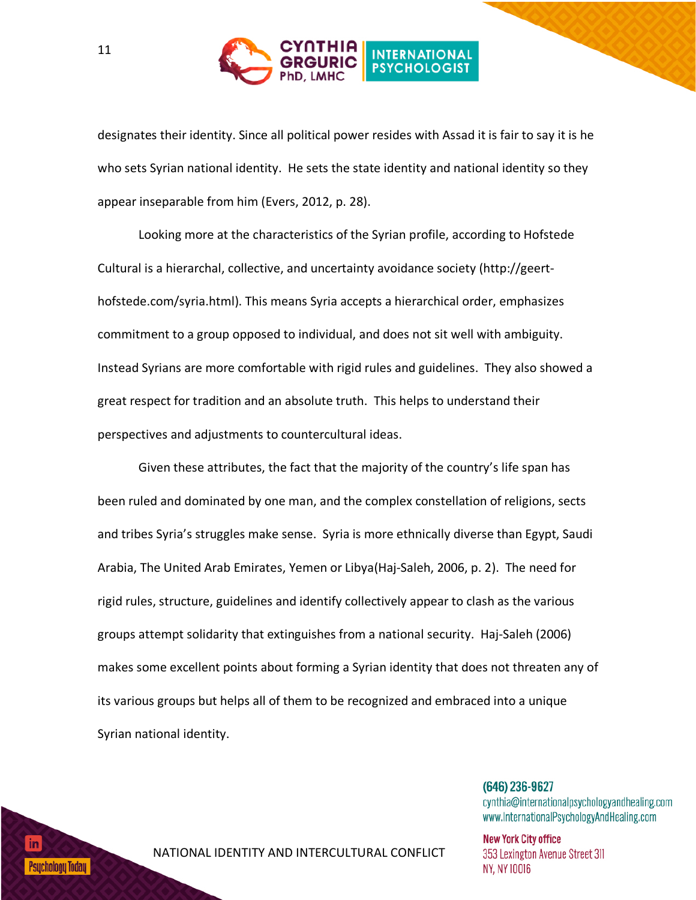

designates their identity. Since all political power resides with Assad it is fair to say it is he who sets Syrian national identity. He sets the state identity and national identity so they appear inseparable from him (Evers, 2012, p. 28).

Looking more at the characteristics of the Syrian profile, according to Hofstede Cultural is a hierarchal, collective, and uncertainty avoidance society (http://geerthofstede.com/syria.html). This means Syria accepts a hierarchical order, emphasizes commitment to a group opposed to individual, and does not sit well with ambiguity. Instead Syrians are more comfortable with rigid rules and guidelines. They also showed a great respect for tradition and an absolute truth. This helps to understand their perspectives and adjustments to countercultural ideas.

Given these attributes, the fact that the majority of the country's life span has been ruled and dominated by one man, and the complex constellation of religions, sects and tribes Syria's struggles make sense. Syria is more ethnically diverse than Egypt, Saudi Arabia, The United Arab Emirates, Yemen or Libya(Haj-Saleh, 2006, p. 2). The need for rigid rules, structure, guidelines and identify collectively appear to clash as the various groups attempt solidarity that extinguishes from a national security. Haj-Saleh (2006) makes some excellent points about forming a Syrian identity that does not threaten any of its various groups but helps all of them to be recognized and embraced into a unique Syrian national identity.

> $(646)$  236-9627 cynthia@internationalpsychologyandhealing.com www.InternationalPsychologyAndHealing.com

**New York City office** 353 Lexington Avenue Street 311 NY, NY 10016

# Psucholoou Todau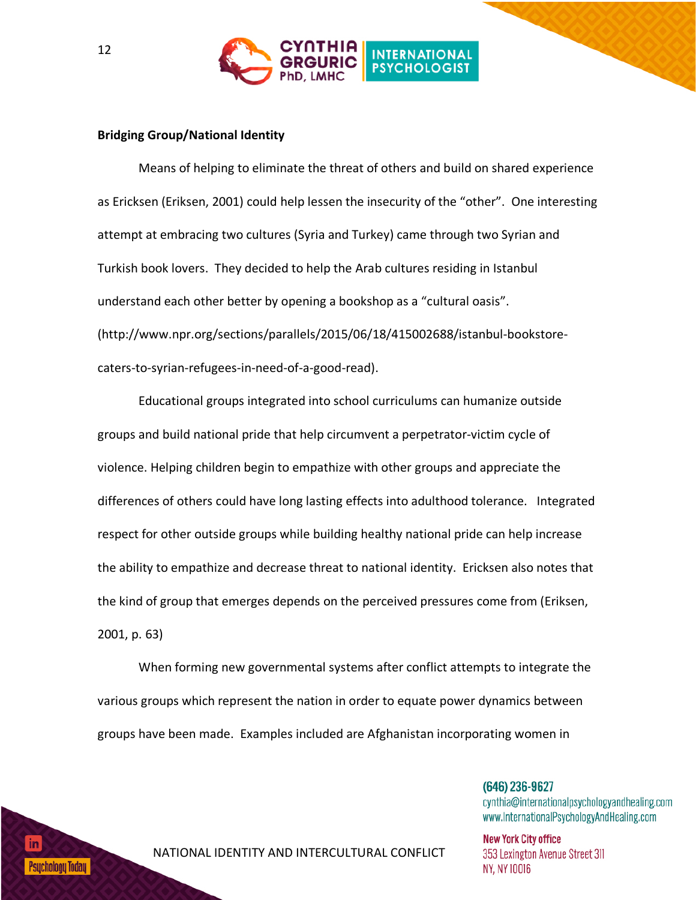

### **Bridging Group/National Identity**

Means of helping to eliminate the threat of others and build on shared experience as Ericksen (Eriksen, 2001) could help lessen the insecurity of the "other". One interesting attempt at embracing two cultures (Syria and Turkey) came through two Syrian and Turkish book lovers. They decided to help the Arab cultures residing in Istanbul understand each other better by opening a bookshop as a "cultural oasis". (http://www.npr.org/sections/parallels/2015/06/18/415002688/istanbul-bookstorecaters-to-syrian-refugees-in-need-of-a-good-read).

Educational groups integrated into school curriculums can humanize outside groups and build national pride that help circumvent a perpetrator-victim cycle of violence. Helping children begin to empathize with other groups and appreciate the differences of others could have long lasting effects into adulthood tolerance. Integrated respect for other outside groups while building healthy national pride can help increase the ability to empathize and decrease threat to national identity. Ericksen also notes that the kind of group that emerges depends on the perceived pressures come from (Eriksen, 2001, p. 63)

When forming new governmental systems after conflict attempts to integrate the various groups which represent the nation in order to equate power dynamics between groups have been made. Examples included are Afghanistan incorporating women in

> $(646)$  236-9627 cynthia@internationalpsychologyandhealing.com www.InternationalPsychologyAndHealing.com

**New York City office** 353 Lexington Avenue Street 311 NY, NY 10016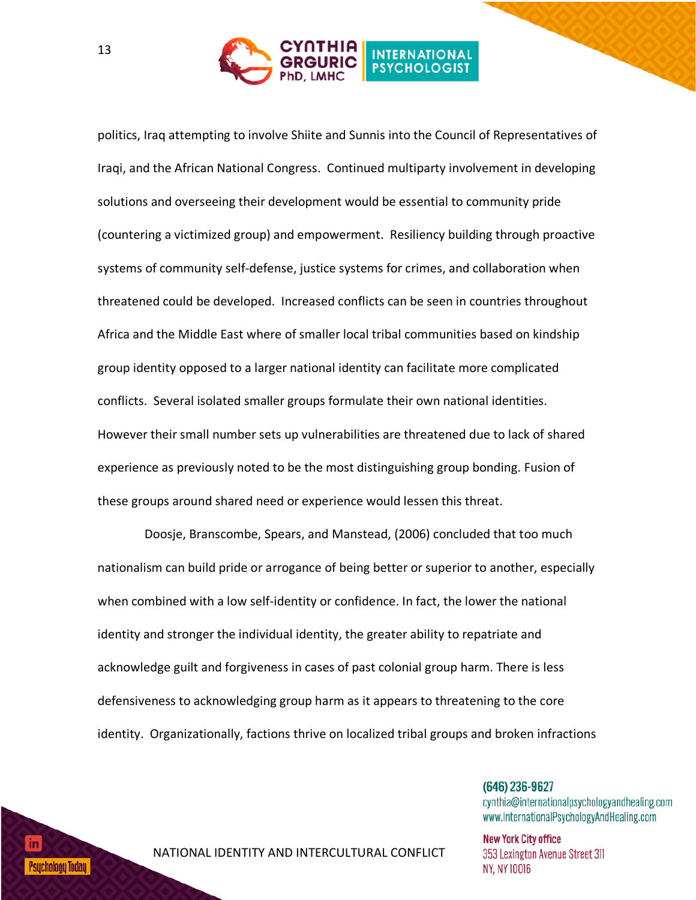

politics, Iraq attempting to involve Shiite and Sunnis into the Council of Representatives of Iraqi, and the African National Congress. Continued multiparty involvement in developing solutions and overseeing their development would be essential to community pride (countering a victimized group) and empowerment. Resiliency building through proactive systems of community self-defense, justice systems for crimes, and collaboration when threatened could be developed. Increased conflicts can be seen in countries throughout Africa and the Middle East where of smaller local tribal communities based on kindship group identity opposed to a larger national identity can facilitate more complicated conflicts. Several isolated smaller groups formulate their own national identities. However their small number sets up vulnerabilities are threatened due to lack of shared experience as previously noted to be the most distinguishing group bonding. Fusion of these groups around shared need or experience would lessen this threat.

 Doosje, Branscombe, Spears, and Manstead, (2006) concluded that too much nationalism can build pride or arrogance of being better or superior to another, especially when combined with a low self-identity or confidence. In fact, the lower the national identity and stronger the individual identity, the greater ability to repatriate and acknowledge guilt and forgiveness in cases of past colonial group harm. There is less defensiveness to acknowledging group harm as it appears to threatening to the core identity. Organizationally, factions thrive on localized tribal groups and broken infractions

> $(646)$  236-9627 cynthia@internationalpsychologyandhealing.com www.InternationalPsychologyAndHealing.com

**New York City office** 353 Lexington Avenue Street 311 NY, NY 10016

## Psucholoou Todau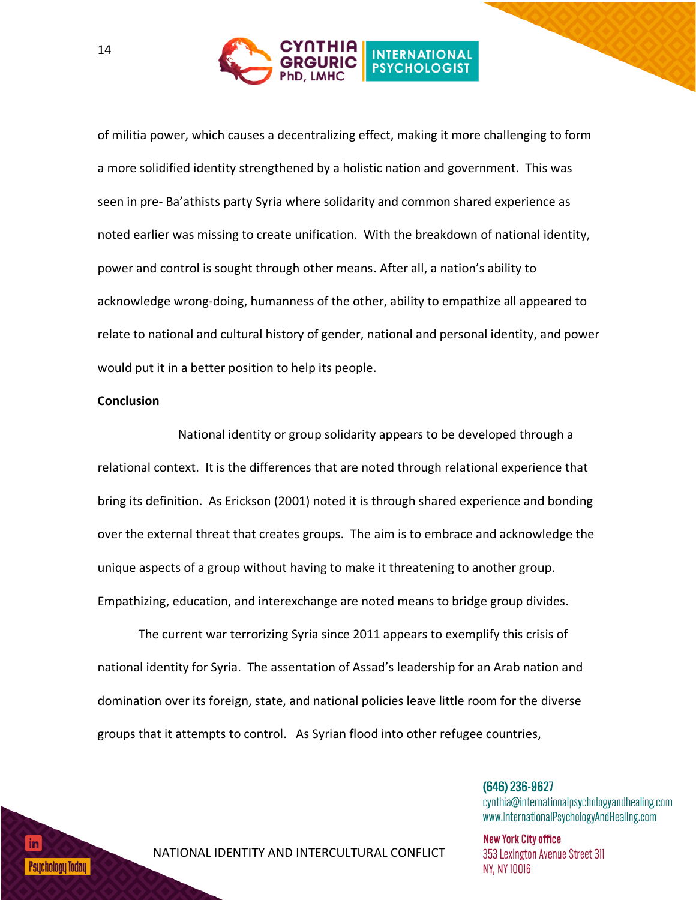

of militia power, which causes a decentralizing effect, making it more challenging to form a more solidified identity strengthened by a holistic nation and government. This was seen in pre- Ba'athists party Syria where solidarity and common shared experience as noted earlier was missing to create unification. With the breakdown of national identity, power and control is sought through other means. After all, a nation's ability to acknowledge wrong-doing, humanness of the other, ability to empathize all appeared to relate to national and cultural history of gender, national and personal identity, and power would put it in a better position to help its people.

#### **Conclusion**

National identity or group solidarity appears to be developed through a relational context. It is the differences that are noted through relational experience that bring its definition. As Erickson (2001) noted it is through shared experience and bonding over the external threat that creates groups. The aim is to embrace and acknowledge the unique aspects of a group without having to make it threatening to another group. Empathizing, education, and interexchange are noted means to bridge group divides.

The current war terrorizing Syria since 2011 appears to exemplify this crisis of national identity for Syria. The assentation of Assad's leadership for an Arab nation and domination over its foreign, state, and national policies leave little room for the diverse groups that it attempts to control. As Syrian flood into other refugee countries,

> $(646)$  236-9627 cynthia@internationalpsychologyandhealing.com www.InternationalPsychologyAndHealing.com

**New York City office** 353 Lexington Avenue Street 311 NY, NY 10016

Psucholoou Todau I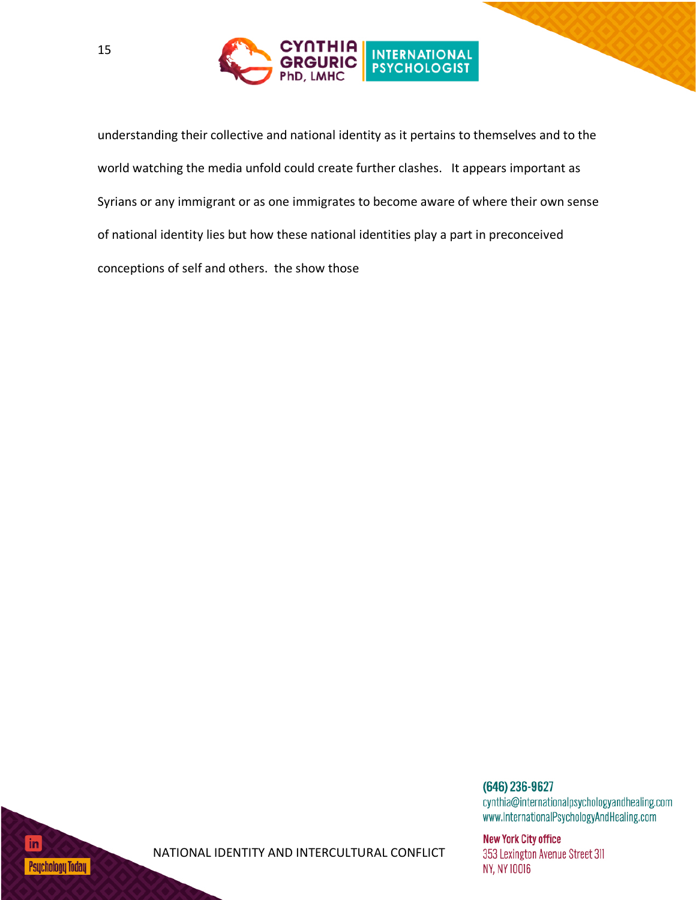

understanding their collective and national identity as it pertains to themselves and to the world watching the media unfold could create further clashes. It appears important as Syrians or any immigrant or as one immigrates to become aware of where their own sense of national identity lies but how these national identities play a part in preconceived conceptions of self and others. the show those



**New York City office** 353 Lexington Avenue Street 311 NY, NY 10016

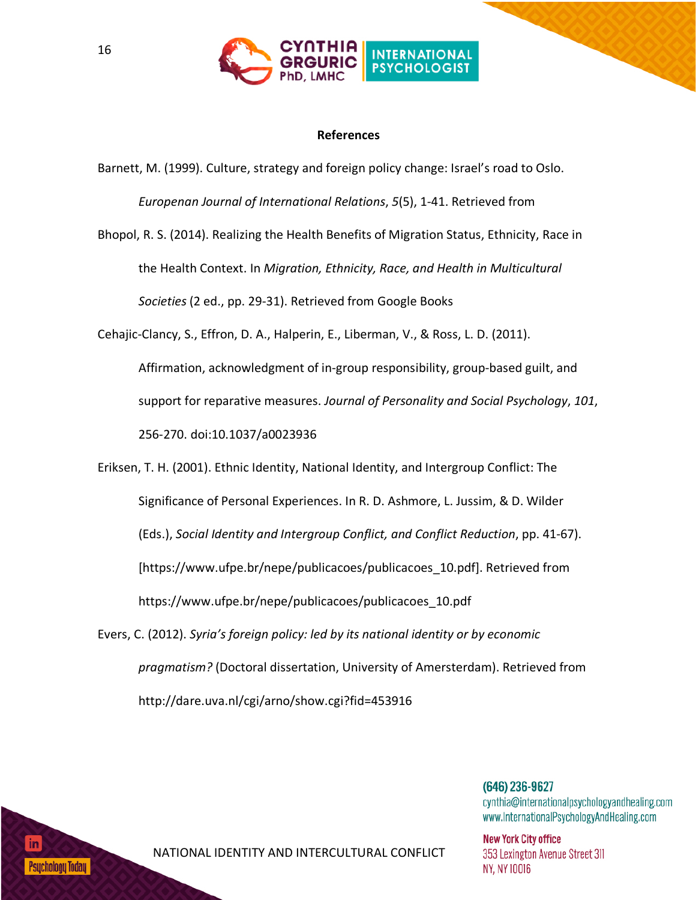

### **References**

Barnett, M. (1999). Culture, strategy and foreign policy change: Israel's road to Oslo. *Europenan Journal of International Relations*, *5*(5), 1-41. Retrieved from

Bhopol, R. S. (2014). Realizing the Health Benefits of Migration Status, Ethnicity, Race in the Health Context. In *Migration, Ethnicity, Race, and Health in Multicultural Societies* (2 ed., pp. 29-31). Retrieved from Google Books

Cehajic-Clancy, S., Effron, D. A., Halperin, E., Liberman, V., & Ross, L. D. (2011). Affirmation, acknowledgment of in-group responsibility, group-based guilt, and support for reparative measures. *Journal of Personality and Social Psychology*, *101*, 256-270. doi:10.1037/a0023936

Eriksen, T. H. (2001). Ethnic Identity, National Identity, and Intergroup Conflict: The Significance of Personal Experiences. In R. D. Ashmore, L. Jussim, & D. Wilder (Eds.), *Social Identity and Intergroup Conflict, and Conflict Reduction*, pp. 41-67). [https://www.ufpe.br/nepe/publicacoes/publicacoes\_10.pdf]. Retrieved from https://www.ufpe.br/nepe/publicacoes/publicacoes\_10.pdf

Evers, C. (2012). *Syria's foreign policy: led by its national identity or by economic pragmatism?* (Doctoral dissertation, University of Amersterdam). Retrieved from http://dare.uva.nl/cgi/arno/show.cgi?fid=453916

> $(646)$  236-9627 cynthia@internationalpsychologyandhealing.com www.InternationalPsychologyAndHealing.com

**New York City office** 353 Lexington Avenue Street 311 **NY, NY 10016** 

Psucholoou Todau I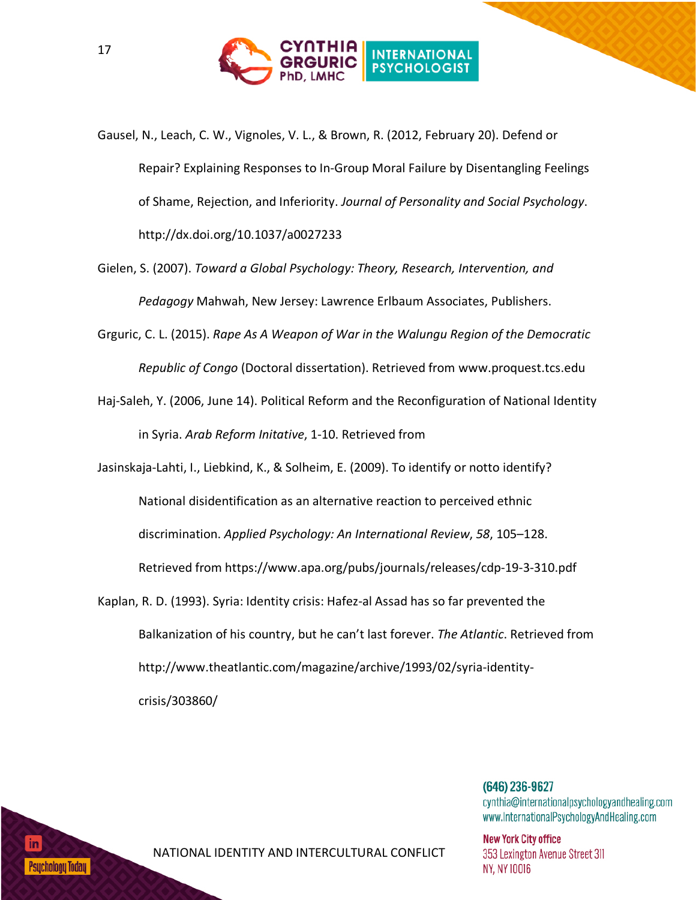

- Gausel, N., Leach, C. W., Vignoles, V. L., & Brown, R. (2012, February 20). Defend or Repair? Explaining Responses to In-Group Moral Failure by Disentangling Feelings of Shame, Rejection, and Inferiority. *Journal of Personality and Social Psychology*. http://dx.doi.org/10.1037/a0027233
- Gielen, S. (2007). *Toward a Global Psychology: Theory, Research, Intervention, and Pedagogy* Mahwah, New Jersey: Lawrence Erlbaum Associates, Publishers.
- Grguric, C. L. (2015). *Rape As A Weapon of War in the Walungu Region of the Democratic Republic of Congo* (Doctoral dissertation). Retrieved from www.proquest.tcs.edu
- Haj-Saleh, Y. (2006, June 14). Political Reform and the Reconfiguration of National Identity in Syria. *Arab Reform Initative*, 1-10. Retrieved from
- Jasinskaja-Lahti, I., Liebkind, K., & Solheim, E. (2009). To identify or notto identify? National disidentification as an alternative reaction to perceived ethnic discrimination. *Applied Psychology: An International Review*, *58*, 105–128. Retrieved from https://www.apa.org/pubs/journals/releases/cdp-19-3-310.pdf
- Kaplan, R. D. (1993). Syria: Identity crisis: Hafez-al Assad has so far prevented the Balkanization of his country, but he can't last forever. *The Atlantic*. Retrieved from http://www.theatlantic.com/magazine/archive/1993/02/syria-identitycrisis/303860/

 $(646)$  236-9627 cynthia@internationalpsychologyandhealing.com www.InternationalPsychologyAndHealing.com

**New York City office** 353 Lexington Avenue Street 311 NY, NY 10016